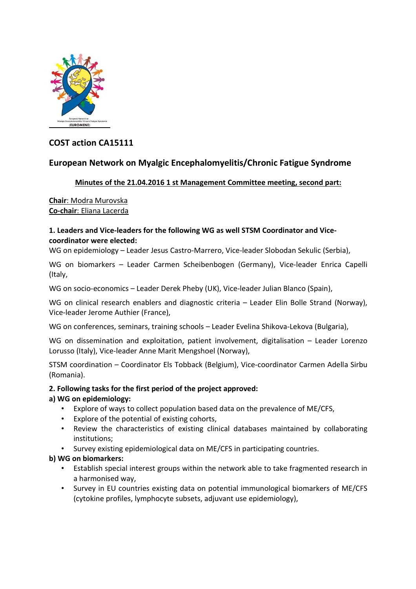

# **COST action CA15111**

## **European Network on Myalgic Encephalomyelitis/Chronic Fatigue Syndrome**

## **Minutes of the 21.04.2016 1 st Management Committee meeting, second part:**

**Chair**: Modra Murovska **Co-chair**: Eliana Lacerda

#### **1. Leaders and Vice-leaders for the following WG as well STSM Coordinator and Vicecoordinator were elected:**

WG on epidemiology – Leader Jesus Castro-Marrero, Vice-leader Slobodan Sekulic (Serbia),

WG on biomarkers – Leader Carmen Scheibenbogen (Germany), Vice-leader Enrica Capelli (Italy,

WG on socio-economics – Leader Derek Pheby (UK), Vice-leader Julian Blanco (Spain),

WG on clinical research enablers and diagnostic criteria – Leader Elin Bolle Strand (Norway), Vice-leader Jerome Authier (France),

WG on conferences, seminars, training schools – Leader Evelina Shikova-Lekova (Bulgaria),

WG on dissemination and exploitation, patient involvement, digitalisation – Leader Lorenzo Lorusso (Italy), Vice-leader Anne Marit Mengshoel (Norway),

STSM coordination – Coordinator Els Tobback (Belgium), Vice-coordinator Carmen Adella Sirbu (Romania).

## **2. Following tasks for the first period of the project approved:**

## **a) WG on epidemiology:**

- Explore of ways to collect population based data on the prevalence of ME/CFS,
- Explore of the potential of existing cohorts,
- Review the characteristics of existing clinical databases maintained by collaborating institutions;
- Survey existing epidemiological data on ME/CFS in participating countries.

## **b) WG on biomarkers:**

- Establish special interest groups within the network able to take fragmented research in a harmonised way,
- Survey in EU countries existing data on potential immunological biomarkers of ME/CFS (cytokine profiles, lymphocyte subsets, adjuvant use epidemiology),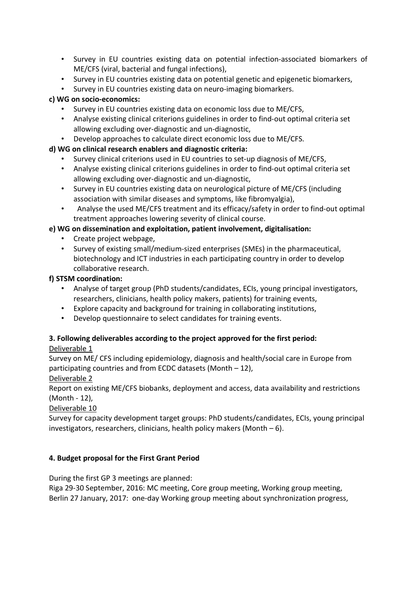- Survey in EU countries existing data on potential infection-associated biomarkers of ME/CFS (viral, bacterial and fungal infections),
- Survey in EU countries existing data on potential genetic and epigenetic biomarkers,
- Survey in EU countries existing data on neuro-imaging biomarkers.

## **c) WG on socio-economics:**

- Survey in EU countries existing data on economic loss due to ME/CFS,
- Analyse existing clinical criterions guidelines in order to find-out optimal criteria set allowing excluding over-diagnostic and un-diagnostic,
- Develop approaches to calculate direct economic loss due to ME/CFS.

## **d) WG on clinical research enablers and diagnostic criteria:**

- Survey clinical criterions used in EU countries to set-up diagnosis of ME/CFS,
- Analyse existing clinical criterions guidelines in order to find-out optimal criteria set allowing excluding over-diagnostic and un-diagnostic,
- Survey in EU countries existing data on neurological picture of ME/CFS (including association with similar diseases and symptoms, like fibromyalgia),
- Analyse the used ME/CFS treatment and its efficacy/safety in order to find-out optimal treatment approaches lowering severity of clinical course.

## **e) WG on dissemination and exploitation, patient involvement, digitalisation:**

- Create project webpage,
- Survey of existing small/medium-sized enterprises (SMEs) in the pharmaceutical, biotechnology and ICT industries in each participating country in order to develop collaborative research.

## **f) STSM coordination:**

- Analyse of target group (PhD students/candidates, ECIs, young principal investigators, researchers, clinicians, health policy makers, patients) for training events,
- Explore capacity and background for training in collaborating institutions,
- Develop questionnaire to select candidates for training events.

## **3. Following deliverables according to the project approved for the first period:**

## Deliverable 1

Survey on ME/ CFS including epidemiology, diagnosis and health/social care in Europe from participating countries and from ECDC datasets (Month – 12),

## Deliverable 2

Report on existing ME/CFS biobanks, deployment and access, data availability and restrictions (Month - 12),

## Deliverable 10

Survey for capacity development target groups: PhD students/candidates, ECIs, young principal investigators, researchers, clinicians, health policy makers (Month – 6).

## **4. Budget proposal for the First Grant Period**

During the first GP 3 meetings are planned:

Riga 29-30 September, 2016: MC meeting, Core group meeting, Working group meeting, Berlin 27 January, 2017: one-day Working group meeting about synchronization progress,